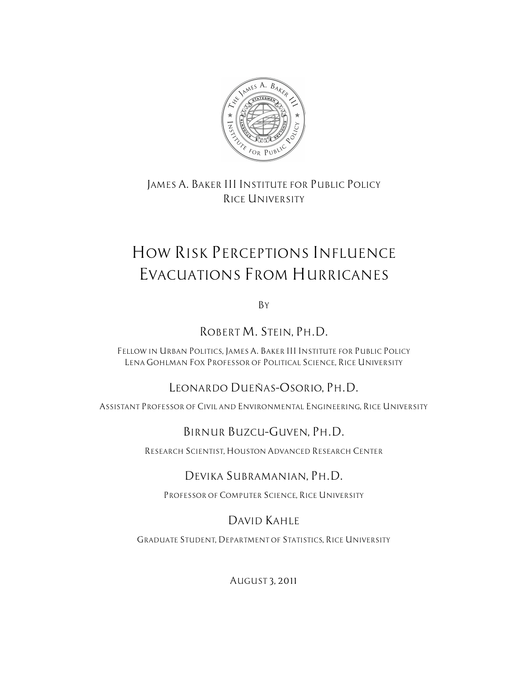

*JAMES A. BAKER III INSTITUTE FOR PUBLIC POLICY RICE UNIVERSITY*

# *HOW RISK PERCEPTIONS INFLUENCE EVACUATIONS FROM HURRICANES*

*BY*

*ROBERT M. STEIN, PH.D.*

*FELLOW IN URBAN POLITICS, JAMES A. BAKER III INSTITUTE FOR PUBLIC POLICY LENA GOHLMAN FOX PROFESSOR OF POLITICAL SCIENCE, RICE UNIVERSITY*

# *LEONARDO DUEÑAS–OSORIO, PH.D.*

*ASSISTANT PROFESSOR OF CIVIL AND ENVIRONMENTAL ENGINEERING, RICE UNIVERSITY*

# *BIRNUR BUZCU–GUVEN, PH.D.*

*RESEARCH SCIENTIST, HOUSTON ADVANCED RESEARCH CENTER*

# *DEVIKA SUBRAMANIAN, PH.D.*

*PROFESSOR OF COMPUTER SCIENCE, RICE UNIVERSITY*

# *DAVID KAHLE*

*GRADUATE STUDENT, DEPARTMENT OF STATISTICS, RICE UNIVERSITY*

*AUGUST 3, 2011*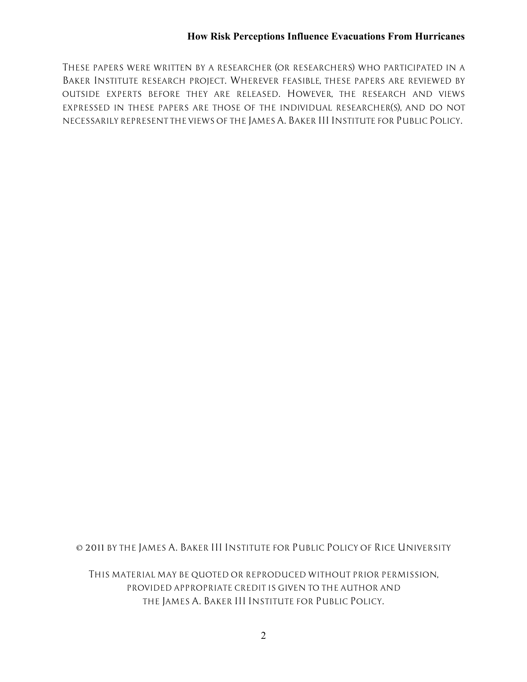*THESE PAPERS WERE WRITTEN BY A RESEARCHER (OR RESEARCHERS) WHO PARTICIPATED IN A BAKER INSTITUTE RESEARCH PROJECT. WHEREVER FEASIBLE, THESE PAPERS ARE REVIEWED BY OUTSIDE EXPERTS BEFORE THEY ARE RELEASED. HOWEVER, THE RESEARCH AND VIEWS EXPRESSED IN THESE PAPERS ARE THOSE OF THE INDIVIDUAL RESEARCHER(S), AND DO NOT NECESSARILY REPRESENT THE VIEWS OF THE JAMES A. BAKER III INSTITUTE FOR PUBLIC POLICY.*

*© 2011 BY THE JAMES A. BAKER III INSTITUTE FOR PUBLIC POLICY OF RICE UNIVERSITY*

*THIS MATERIAL MAY BE QUOTED OR REPRODUCED WITHOUT PRIOR PERMISSION, PROVIDED APPROPRIATE CREDIT IS GIVEN TO THE AUTHOR AND THE JAMES A. BAKER III INSTITUTE FOR PUBLIC POLICY.*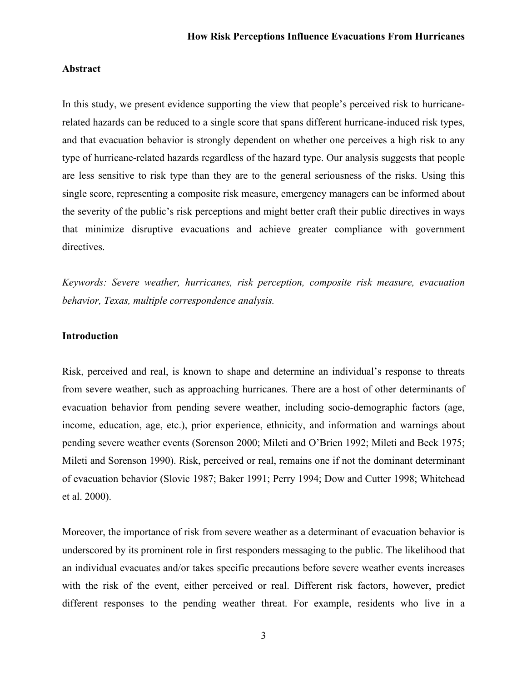### **Abstract**

In this study, we present evidence supporting the view that people's perceived risk to hurricanerelated hazards can be reduced to a single score that spans different hurricane-induced risk types, and that evacuation behavior is strongly dependent on whether one perceives a high risk to any type of hurricane-related hazards regardless of the hazard type. Our analysis suggests that people are less sensitive to risk type than they are to the general seriousness of the risks. Using this single score, representing a composite risk measure, emergency managers can be informed about the severity of the public's risk perceptions and might better craft their public directives in ways that minimize disruptive evacuations and achieve greater compliance with government directives.

*Keywords: Severe weather, hurricanes, risk perception, composite risk measure, evacuation behavior, Texas, multiple correspondence analysis.*

# **Introduction**

Risk, perceived and real, is known to shape and determine an individual's response to threats from severe weather, such as approaching hurricanes. There are a host of other determinants of evacuation behavior from pending severe weather, including socio-demographic factors (age, income, education, age, etc.), prior experience, ethnicity, and information and warnings about pending severe weather events (Sorenson 2000; Mileti and O'Brien 1992; Mileti and Beck 1975; Mileti and Sorenson 1990). Risk, perceived or real, remains one if not the dominant determinant of evacuation behavior (Slovic 1987; Baker 1991; Perry 1994; Dow and Cutter 1998; Whitehead et al. 2000).

Moreover, the importance of risk from severe weather as a determinant of evacuation behavior is underscored by its prominent role in first responders messaging to the public. The likelihood that an individual evacuates and/or takes specific precautions before severe weather events increases with the risk of the event, either perceived or real. Different risk factors, however, predict different responses to the pending weather threat. For example, residents who live in a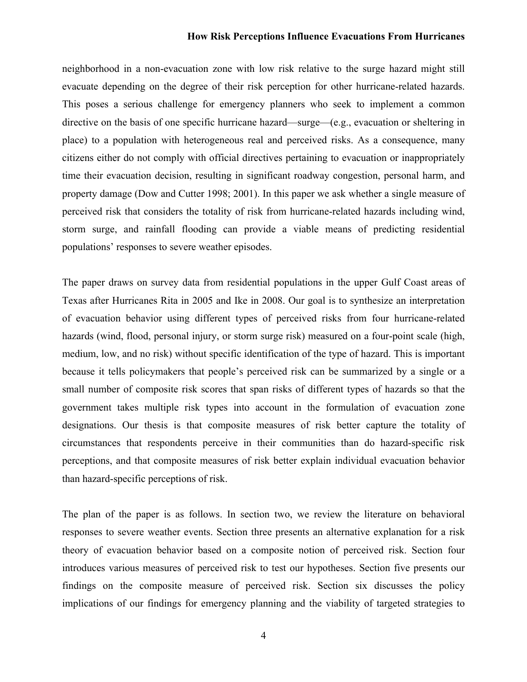neighborhood in a non-evacuation zone with low risk relative to the surge hazard might still evacuate depending on the degree of their risk perception for other hurricane-related hazards. This poses a serious challenge for emergency planners who seek to implement a common directive on the basis of one specific hurricane hazard—surge—(e.g., evacuation or sheltering in place) to a population with heterogeneous real and perceived risks. As a consequence, many citizens either do not comply with official directives pertaining to evacuation or inappropriately time their evacuation decision, resulting in significant roadway congestion, personal harm, and property damage (Dow and Cutter 1998; 2001). In this paper we ask whether a single measure of perceived risk that considers the totality of risk from hurricane-related hazards including wind, storm surge, and rainfall flooding can provide a viable means of predicting residential populations' responses to severe weather episodes.

The paper draws on survey data from residential populations in the upper Gulf Coast areas of Texas after Hurricanes Rita in 2005 and Ike in 2008. Our goal is to synthesize an interpretation of evacuation behavior using different types of perceived risks from four hurricane-related hazards (wind, flood, personal injury, or storm surge risk) measured on a four-point scale (high, medium, low, and no risk) without specific identification of the type of hazard. This is important because it tells policymakers that people's perceived risk can be summarized by a single or a small number of composite risk scores that span risks of different types of hazards so that the government takes multiple risk types into account in the formulation of evacuation zone designations. Our thesis is that composite measures of risk better capture the totality of circumstances that respondents perceive in their communities than do hazard-specific risk perceptions, and that composite measures of risk better explain individual evacuation behavior than hazard-specific perceptions of risk.

The plan of the paper is as follows. In section two, we review the literature on behavioral responses to severe weather events. Section three presents an alternative explanation for a risk theory of evacuation behavior based on a composite notion of perceived risk. Section four introduces various measures of perceived risk to test our hypotheses. Section five presents our findings on the composite measure of perceived risk. Section six discusses the policy implications of our findings for emergency planning and the viability of targeted strategies to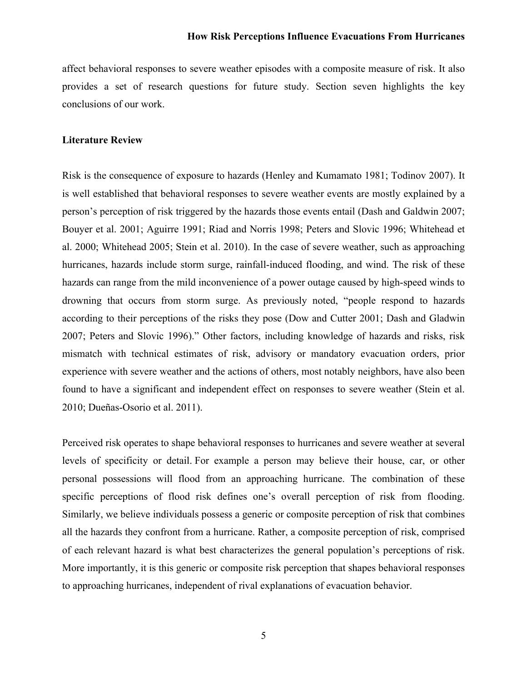affect behavioral responses to severe weather episodes with a composite measure of risk. It also provides a set of research questions for future study. Section seven highlights the key conclusions of our work.

#### **Literature Review**

Risk is the consequence of exposure to hazards (Henley and Kumamato 1981; Todinov 2007). It is well established that behavioral responses to severe weather events are mostly explained by a person's perception of risk triggered by the hazards those events entail (Dash and Galdwin 2007; Bouyer et al. 2001; Aguirre 1991; Riad and Norris 1998; Peters and Slovic 1996; Whitehead et al. 2000; Whitehead 2005; Stein et al. 2010). In the case of severe weather, such as approaching hurricanes, hazards include storm surge, rainfall-induced flooding, and wind. The risk of these hazards can range from the mild inconvenience of a power outage caused by high-speed winds to drowning that occurs from storm surge. As previously noted, "people respond to hazards according to their perceptions of the risks they pose (Dow and Cutter 2001; Dash and Gladwin 2007; Peters and Slovic 1996)." Other factors, including knowledge of hazards and risks, risk mismatch with technical estimates of risk, advisory or mandatory evacuation orders, prior experience with severe weather and the actions of others, most notably neighbors, have also been found to have a significant and independent effect on responses to severe weather (Stein et al. 2010; Dueñas-Osorio et al. 2011).

Perceived risk operates to shape behavioral responses to hurricanes and severe weather at several levels of specificity or detail. For example a person may believe their house, car, or other personal possessions will flood from an approaching hurricane. The combination of these specific perceptions of flood risk defines one's overall perception of risk from flooding. Similarly, we believe individuals possess a generic or composite perception of risk that combines all the hazards they confront from a hurricane. Rather, a composite perception of risk, comprised of each relevant hazard is what best characterizes the general population's perceptions of risk. More importantly, it is this generic or composite risk perception that shapes behavioral responses to approaching hurricanes, independent of rival explanations of evacuation behavior.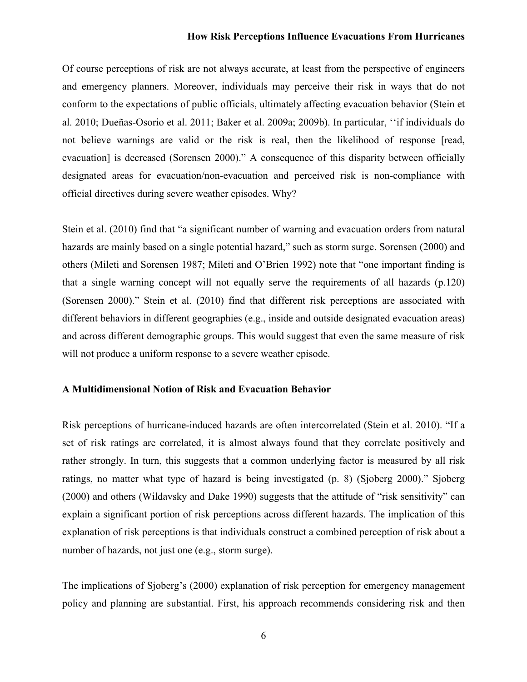Of course perceptions of risk are not always accurate, at least from the perspective of engineers and emergency planners. Moreover, individuals may perceive their risk in ways that do not conform to the expectations of public officials, ultimately affecting evacuation behavior (Stein et al. 2010; Dueñas-Osorio et al. 2011; Baker et al. 2009a; 2009b). In particular, ''if individuals do not believe warnings are valid or the risk is real, then the likelihood of response [read, evacuation] is decreased (Sorensen 2000)." A consequence of this disparity between officially designated areas for evacuation/non-evacuation and perceived risk is non-compliance with official directives during severe weather episodes. Why?

Stein et al. (2010) find that "a significant number of warning and evacuation orders from natural hazards are mainly based on a single potential hazard," such as storm surge. Sorensen (2000) and others (Mileti and Sorensen 1987; Mileti and O'Brien 1992) note that "one important finding is that a single warning concept will not equally serve the requirements of all hazards (p.120) (Sorensen 2000)." Stein et al. (2010) find that different risk perceptions are associated with different behaviors in different geographies (e.g., inside and outside designated evacuation areas) and across different demographic groups. This would suggest that even the same measure of risk will not produce a uniform response to a severe weather episode.

# **A Multidimensional Notion of Risk and Evacuation Behavior**

Risk perceptions of hurricane-induced hazards are often intercorrelated (Stein et al. 2010). "If a set of risk ratings are correlated, it is almost always found that they correlate positively and rather strongly. In turn, this suggests that a common underlying factor is measured by all risk ratings, no matter what type of hazard is being investigated (p. 8) (Sjoberg 2000)." Sjoberg (2000) and others (Wildavsky and Dake 1990) suggests that the attitude of "risk sensitivity" can explain a significant portion of risk perceptions across different hazards. The implication of this explanation of risk perceptions is that individuals construct a combined perception of risk about a number of hazards, not just one (e.g., storm surge).

The implications of Sjoberg's (2000) explanation of risk perception for emergency management policy and planning are substantial. First, his approach recommends considering risk and then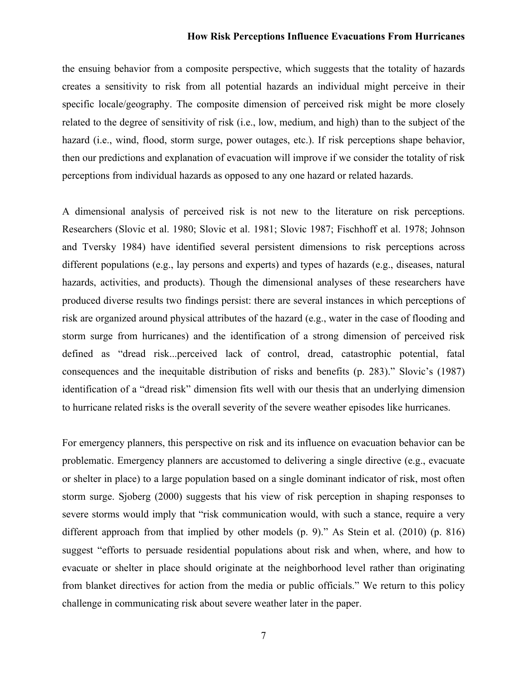the ensuing behavior from a composite perspective, which suggests that the totality of hazards creates a sensitivity to risk from all potential hazards an individual might perceive in their specific locale/geography. The composite dimension of perceived risk might be more closely related to the degree of sensitivity of risk (i.e., low, medium, and high) than to the subject of the hazard (i.e., wind, flood, storm surge, power outages, etc.). If risk perceptions shape behavior, then our predictions and explanation of evacuation will improve if we consider the totality of risk perceptions from individual hazards as opposed to any one hazard or related hazards.

A dimensional analysis of perceived risk is not new to the literature on risk perceptions. Researchers (Slovic et al. 1980; Slovic et al. 1981; Slovic 1987; Fischhoff et al. 1978; Johnson and Tversky 1984) have identified several persistent dimensions to risk perceptions across different populations (e.g., lay persons and experts) and types of hazards (e.g., diseases, natural hazards, activities, and products). Though the dimensional analyses of these researchers have produced diverse results two findings persist: there are several instances in which perceptions of risk are organized around physical attributes of the hazard (e.g., water in the case of flooding and storm surge from hurricanes) and the identification of a strong dimension of perceived risk defined as "dread risk...perceived lack of control, dread, catastrophic potential, fatal consequences and the inequitable distribution of risks and benefits (p. 283)." Slovic's (1987) identification of a "dread risk" dimension fits well with our thesis that an underlying dimension to hurricane related risks is the overall severity of the severe weather episodes like hurricanes.

For emergency planners, this perspective on risk and its influence on evacuation behavior can be problematic. Emergency planners are accustomed to delivering a single directive (e.g., evacuate or shelter in place) to a large population based on a single dominant indicator of risk, most often storm surge. Sjoberg (2000) suggests that his view of risk perception in shaping responses to severe storms would imply that "risk communication would, with such a stance, require a very different approach from that implied by other models (p. 9)." As Stein et al. (2010) (p. 816) suggest "efforts to persuade residential populations about risk and when, where, and how to evacuate or shelter in place should originate at the neighborhood level rather than originating from blanket directives for action from the media or public officials." We return to this policy challenge in communicating risk about severe weather later in the paper.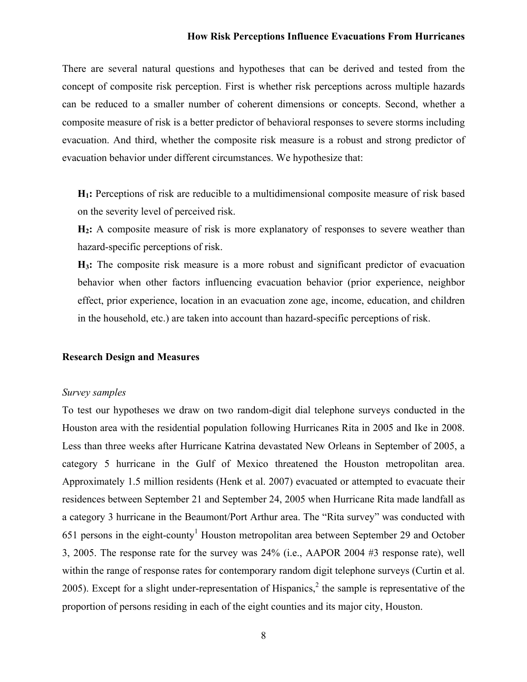There are several natural questions and hypotheses that can be derived and tested from the concept of composite risk perception. First is whether risk perceptions across multiple hazards can be reduced to a smaller number of coherent dimensions or concepts. Second, whether a composite measure of risk is a better predictor of behavioral responses to severe storms including evacuation. And third, whether the composite risk measure is a robust and strong predictor of evacuation behavior under different circumstances. We hypothesize that:

**H1:** Perceptions of risk are reducible to a multidimensional composite measure of risk based on the severity level of perceived risk.

**H2:** A composite measure of risk is more explanatory of responses to severe weather than hazard-specific perceptions of risk.

**H3:** The composite risk measure is a more robust and significant predictor of evacuation behavior when other factors influencing evacuation behavior (prior experience, neighbor effect, prior experience, location in an evacuation zone age, income, education, and children in the household, etc.) are taken into account than hazard-specific perceptions of risk.

#### **Research Design and Measures**

#### *Survey samples*

To test our hypotheses we draw on two random-digit dial telephone surveys conducted in the Houston area with the residential population following Hurricanes Rita in 2005 and Ike in 2008. Less than three weeks after Hurricane Katrina devastated New Orleans in September of 2005, a category 5 hurricane in the Gulf of Mexico threatened the Houston metropolitan area. Approximately 1.5 million residents (Henk et al. 2007) evacuated or attempted to evacuate their residences between September 21 and September 24, 2005 when Hurricane Rita made landfall as a category 3 hurricane in the Beaumont/Port Arthur area. The "Rita survey" was conducted with 651 persons in the eight-county<sup>1</sup> Houston metropolitan area between September 29 and October 3, 2005. The response rate for the survey was 24% (i.e., AAPOR 2004 #3 response rate), well within the range of response rates for contemporary random digit telephone surveys (Curtin et al. 2005). Except for a slight under-representation of Hispanics,<sup>2</sup> the sample is representative of the proportion of persons residing in each of the eight counties and its major city, Houston.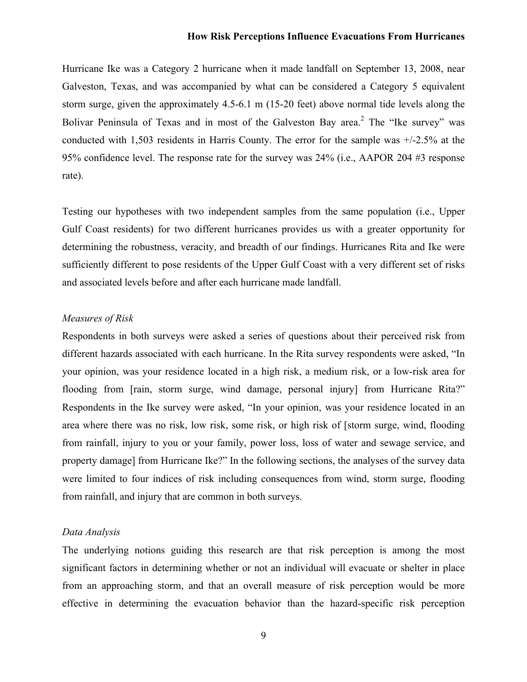Hurricane Ike was a Category 2 hurricane when it made landfall on September 13, 2008, near Galveston, Texas, and was accompanied by what can be considered a Category 5 equivalent storm surge, given the approximately 4.5-6.1 m (15-20 feet) above normal tide levels along the Bolivar Peninsula of Texas and in most of the Galveston Bay area.<sup>2</sup> The "Ike survey" was conducted with 1,503 residents in Harris County. The error for the sample was +/-2.5% at the 95% confidence level. The response rate for the survey was 24% (i.e., AAPOR 204 #3 response rate).

Testing our hypotheses with two independent samples from the same population (i.e., Upper Gulf Coast residents) for two different hurricanes provides us with a greater opportunity for determining the robustness, veracity, and breadth of our findings. Hurricanes Rita and Ike were sufficiently different to pose residents of the Upper Gulf Coast with a very different set of risks and associated levels before and after each hurricane made landfall.

#### *Measures of Risk*

Respondents in both surveys were asked a series of questions about their perceived risk from different hazards associated with each hurricane. In the Rita survey respondents were asked, "In your opinion, was your residence located in a high risk, a medium risk, or a low-risk area for flooding from [rain, storm surge, wind damage, personal injury] from Hurricane Rita?" Respondents in the Ike survey were asked, "In your opinion, was your residence located in an area where there was no risk, low risk, some risk, or high risk of [storm surge, wind, flooding from rainfall, injury to you or your family, power loss, loss of water and sewage service, and property damage] from Hurricane Ike?" In the following sections, the analyses of the survey data were limited to four indices of risk including consequences from wind, storm surge, flooding from rainfall, and injury that are common in both surveys.

#### *Data Analysis*

The underlying notions guiding this research are that risk perception is among the most significant factors in determining whether or not an individual will evacuate or shelter in place from an approaching storm, and that an overall measure of risk perception would be more effective in determining the evacuation behavior than the hazard-specific risk perception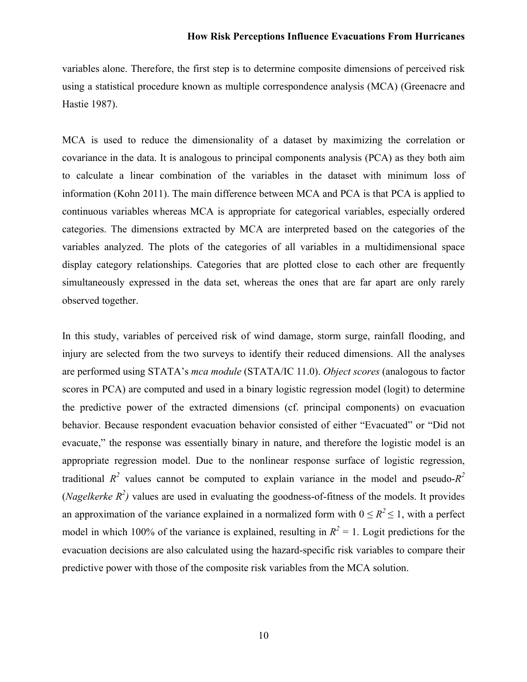variables alone. Therefore, the first step is to determine composite dimensions of perceived risk using a statistical procedure known as multiple correspondence analysis (MCA) (Greenacre and Hastie 1987).

MCA is used to reduce the dimensionality of a dataset by maximizing the correlation or covariance in the data. It is analogous to principal components analysis (PCA) as they both aim to calculate a linear combination of the variables in the dataset with minimum loss of information (Kohn 2011). The main difference between MCA and PCA is that PCA is applied to continuous variables whereas MCA is appropriate for categorical variables, especially ordered categories. The dimensions extracted by MCA are interpreted based on the categories of the variables analyzed. The plots of the categories of all variables in a multidimensional space display category relationships. Categories that are plotted close to each other are frequently simultaneously expressed in the data set, whereas the ones that are far apart are only rarely observed together.

In this study, variables of perceived risk of wind damage, storm surge, rainfall flooding, and injury are selected from the two surveys to identify their reduced dimensions. All the analyses are performed using STATA's *mca module* (STATA/IC 11.0). *Object scores* (analogous to factor scores in PCA) are computed and used in a binary logistic regression model (logit) to determine the predictive power of the extracted dimensions (cf. principal components) on evacuation behavior. Because respondent evacuation behavior consisted of either "Evacuated" or "Did not evacuate," the response was essentially binary in nature, and therefore the logistic model is an appropriate regression model. Due to the nonlinear response surface of logistic regression, traditional  $R^2$  values cannot be computed to explain variance in the model and pseudo- $R^2$ (*Nagelkerke*  $R^2$ ) values are used in evaluating the goodness-of-fitness of the models. It provides an approximation of the variance explained in a normalized form with  $0 \leq R^2 \leq 1$ , with a perfect model in which 100% of the variance is explained, resulting in  $R^2 = 1$ . Logit predictions for the evacuation decisions are also calculated using the hazard-specific risk variables to compare their predictive power with those of the composite risk variables from the MCA solution.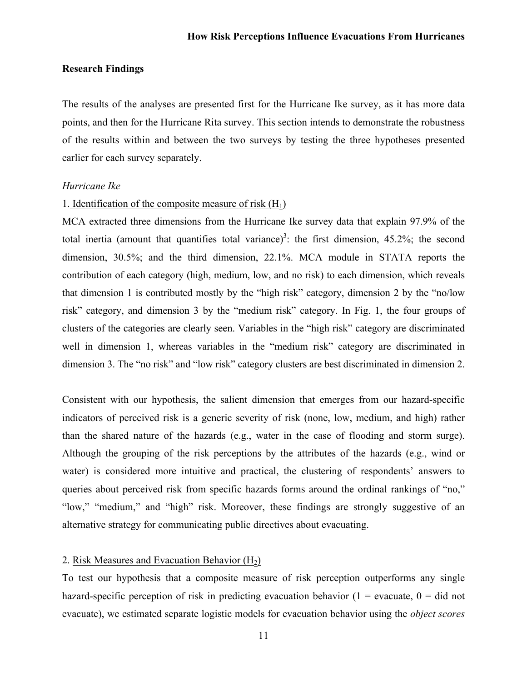#### **Research Findings**

The results of the analyses are presented first for the Hurricane Ike survey, as it has more data points, and then for the Hurricane Rita survey. This section intends to demonstrate the robustness of the results within and between the two surveys by testing the three hypotheses presented earlier for each survey separately.

#### *Hurricane Ike*

# 1. Identification of the composite measure of risk  $(H_1)$

MCA extracted three dimensions from the Hurricane Ike survey data that explain 97.9% of the total inertia (amount that quantifies total variance)<sup>3</sup>: the first dimension, 45.2%; the second dimension, 30.5%; and the third dimension, 22.1%. MCA module in STATA reports the contribution of each category (high, medium, low, and no risk) to each dimension, which reveals that dimension 1 is contributed mostly by the "high risk" category, dimension 2 by the "no/low risk" category, and dimension 3 by the "medium risk" category. In Fig. 1, the four groups of clusters of the categories are clearly seen. Variables in the "high risk" category are discriminated well in dimension 1, whereas variables in the "medium risk" category are discriminated in dimension 3. The "no risk" and "low risk" category clusters are best discriminated in dimension 2.

Consistent with our hypothesis, the salient dimension that emerges from our hazard-specific indicators of perceived risk is a generic severity of risk (none, low, medium, and high) rather than the shared nature of the hazards (e.g., water in the case of flooding and storm surge). Although the grouping of the risk perceptions by the attributes of the hazards (e.g., wind or water) is considered more intuitive and practical, the clustering of respondents' answers to queries about perceived risk from specific hazards forms around the ordinal rankings of "no," "low," "medium," and "high" risk. Moreover, these findings are strongly suggestive of an alternative strategy for communicating public directives about evacuating.

# 2. Risk Measures and Evacuation Behavior  $(H<sub>2</sub>)$

To test our hypothesis that a composite measure of risk perception outperforms any single hazard-specific perception of risk in predicting evacuation behavior  $(1 = \text{evacuate}, 0 = \text{did not})$ evacuate), we estimated separate logistic models for evacuation behavior using the *object scores*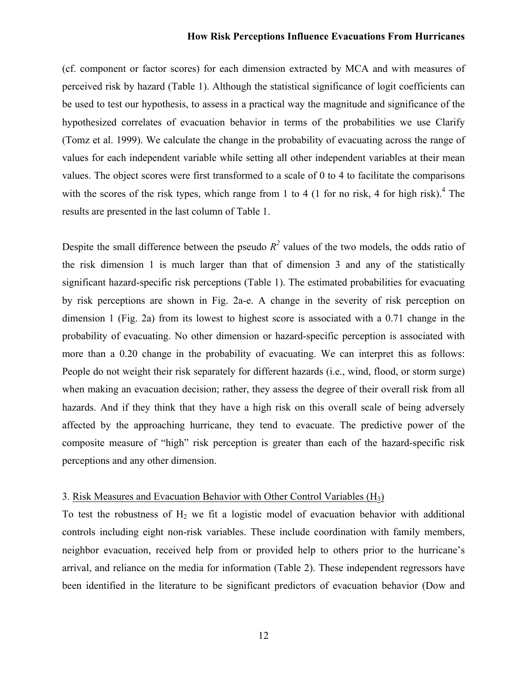(cf. component or factor scores) for each dimension extracted by MCA and with measures of perceived risk by hazard (Table 1). Although the statistical significance of logit coefficients can be used to test our hypothesis, to assess in a practical way the magnitude and significance of the hypothesized correlates of evacuation behavior in terms of the probabilities we use Clarify (Tomz et al. 1999). We calculate the change in the probability of evacuating across the range of values for each independent variable while setting all other independent variables at their mean values. The object scores were first transformed to a scale of 0 to 4 to facilitate the comparisons with the scores of the risk types, which range from 1 to 4 (1 for no risk, 4 for high risk).<sup>4</sup> The results are presented in the last column of Table 1.

Despite the small difference between the pseudo  $R^2$  values of the two models, the odds ratio of the risk dimension 1 is much larger than that of dimension 3 and any of the statistically significant hazard-specific risk perceptions (Table 1). The estimated probabilities for evacuating by risk perceptions are shown in Fig. 2a-e. A change in the severity of risk perception on dimension 1 (Fig. 2a) from its lowest to highest score is associated with a 0.71 change in the probability of evacuating. No other dimension or hazard-specific perception is associated with more than a 0.20 change in the probability of evacuating. We can interpret this as follows: People do not weight their risk separately for different hazards (i.e., wind, flood, or storm surge) when making an evacuation decision; rather, they assess the degree of their overall risk from all hazards. And if they think that they have a high risk on this overall scale of being adversely affected by the approaching hurricane, they tend to evacuate. The predictive power of the composite measure of "high" risk perception is greater than each of the hazard-specific risk perceptions and any other dimension.

#### 3. Risk Measures and Evacuation Behavior with Other Control Variables  $(H_3)$

To test the robustness of  $H_2$  we fit a logistic model of evacuation behavior with additional controls including eight non-risk variables. These include coordination with family members, neighbor evacuation, received help from or provided help to others prior to the hurricane's arrival, and reliance on the media for information (Table 2). These independent regressors have been identified in the literature to be significant predictors of evacuation behavior (Dow and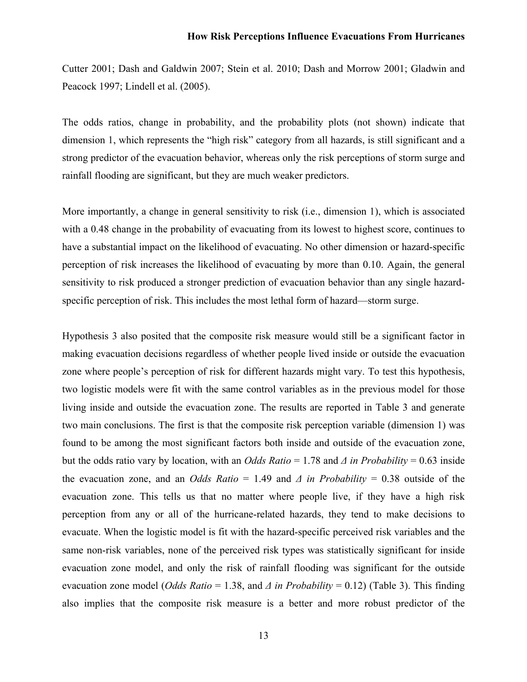Cutter 2001; Dash and Galdwin 2007; Stein et al. 2010; Dash and Morrow 2001; Gladwin and Peacock 1997; Lindell et al. (2005).

The odds ratios, change in probability, and the probability plots (not shown) indicate that dimension 1, which represents the "high risk" category from all hazards, is still significant and a strong predictor of the evacuation behavior, whereas only the risk perceptions of storm surge and rainfall flooding are significant, but they are much weaker predictors.

More importantly, a change in general sensitivity to risk (i.e., dimension 1), which is associated with a 0.48 change in the probability of evacuating from its lowest to highest score, continues to have a substantial impact on the likelihood of evacuating. No other dimension or hazard-specific perception of risk increases the likelihood of evacuating by more than 0.10. Again, the general sensitivity to risk produced a stronger prediction of evacuation behavior than any single hazardspecific perception of risk. This includes the most lethal form of hazard—storm surge.

Hypothesis 3 also posited that the composite risk measure would still be a significant factor in making evacuation decisions regardless of whether people lived inside or outside the evacuation zone where people's perception of risk for different hazards might vary. To test this hypothesis, two logistic models were fit with the same control variables as in the previous model for those living inside and outside the evacuation zone. The results are reported in Table 3 and generate two main conclusions. The first is that the composite risk perception variable (dimension 1) was found to be among the most significant factors both inside and outside of the evacuation zone, but the odds ratio vary by location, with an *Odds Ratio* = 1.78 and *Δ in Probability* = 0.63 inside the evacuation zone, and an *Odds Ratio* = 1.49 and *Δ in Probability* = 0.38 outside of the evacuation zone. This tells us that no matter where people live, if they have a high risk perception from any or all of the hurricane-related hazards, they tend to make decisions to evacuate. When the logistic model is fit with the hazard-specific perceived risk variables and the same non-risk variables, none of the perceived risk types was statistically significant for inside evacuation zone model, and only the risk of rainfall flooding was significant for the outside evacuation zone model (*Odds Ratio* = 1.38, and *Δ in Probability* = 0.12) (Table 3). This finding also implies that the composite risk measure is a better and more robust predictor of the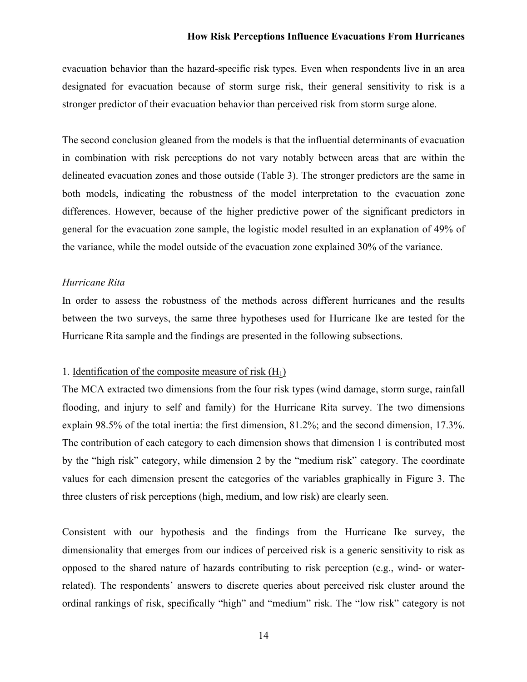evacuation behavior than the hazard-specific risk types. Even when respondents live in an area designated for evacuation because of storm surge risk, their general sensitivity to risk is a stronger predictor of their evacuation behavior than perceived risk from storm surge alone.

The second conclusion gleaned from the models is that the influential determinants of evacuation in combination with risk perceptions do not vary notably between areas that are within the delineated evacuation zones and those outside (Table 3). The stronger predictors are the same in both models, indicating the robustness of the model interpretation to the evacuation zone differences. However, because of the higher predictive power of the significant predictors in general for the evacuation zone sample, the logistic model resulted in an explanation of 49% of the variance, while the model outside of the evacuation zone explained 30% of the variance.

#### *Hurricane Rita*

In order to assess the robustness of the methods across different hurricanes and the results between the two surveys, the same three hypotheses used for Hurricane Ike are tested for the Hurricane Rita sample and the findings are presented in the following subsections.

# 1. Identification of the composite measure of risk  $(H_1)$

The MCA extracted two dimensions from the four risk types (wind damage, storm surge, rainfall flooding, and injury to self and family) for the Hurricane Rita survey. The two dimensions explain 98.5% of the total inertia: the first dimension, 81.2%; and the second dimension, 17.3%. The contribution of each category to each dimension shows that dimension 1 is contributed most by the "high risk" category, while dimension 2 by the "medium risk" category. The coordinate values for each dimension present the categories of the variables graphically in Figure 3. The three clusters of risk perceptions (high, medium, and low risk) are clearly seen.

Consistent with our hypothesis and the findings from the Hurricane Ike survey, the dimensionality that emerges from our indices of perceived risk is a generic sensitivity to risk as opposed to the shared nature of hazards contributing to risk perception (e.g., wind- or waterrelated). The respondents' answers to discrete queries about perceived risk cluster around the ordinal rankings of risk, specifically "high" and "medium" risk. The "low risk" category is not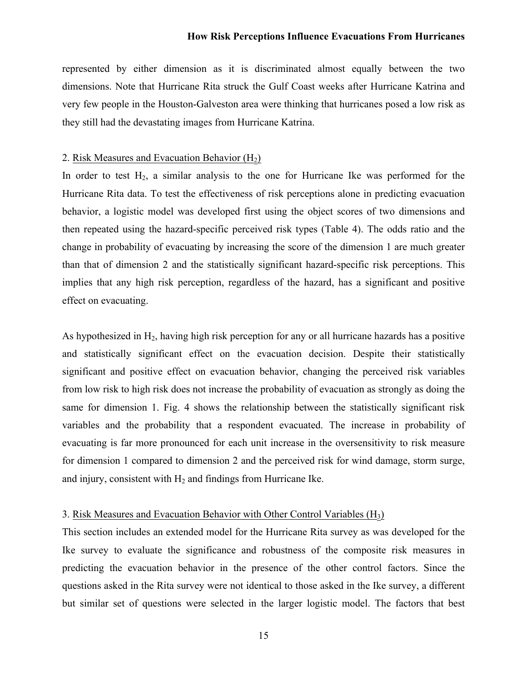represented by either dimension as it is discriminated almost equally between the two dimensions. Note that Hurricane Rita struck the Gulf Coast weeks after Hurricane Katrina and very few people in the Houston-Galveston area were thinking that hurricanes posed a low risk as they still had the devastating images from Hurricane Katrina.

# 2. Risk Measures and Evacuation Behavior  $(H<sub>2</sub>)$

In order to test  $H_2$ , a similar analysis to the one for Hurricane Ike was performed for the Hurricane Rita data. To test the effectiveness of risk perceptions alone in predicting evacuation behavior, a logistic model was developed first using the object scores of two dimensions and then repeated using the hazard-specific perceived risk types (Table 4). The odds ratio and the change in probability of evacuating by increasing the score of the dimension 1 are much greater than that of dimension 2 and the statistically significant hazard-specific risk perceptions. This implies that any high risk perception, regardless of the hazard, has a significant and positive effect on evacuating.

As hypothesized in  $H_2$ , having high risk perception for any or all hurricane hazards has a positive and statistically significant effect on the evacuation decision. Despite their statistically significant and positive effect on evacuation behavior, changing the perceived risk variables from low risk to high risk does not increase the probability of evacuation as strongly as doing the same for dimension 1. Fig. 4 shows the relationship between the statistically significant risk variables and the probability that a respondent evacuated. The increase in probability of evacuating is far more pronounced for each unit increase in the oversensitivity to risk measure for dimension 1 compared to dimension 2 and the perceived risk for wind damage, storm surge, and injury, consistent with  $H_2$  and findings from Hurricane Ike.

#### 3. Risk Measures and Evacuation Behavior with Other Control Variables (H3)

This section includes an extended model for the Hurricane Rita survey as was developed for the Ike survey to evaluate the significance and robustness of the composite risk measures in predicting the evacuation behavior in the presence of the other control factors. Since the questions asked in the Rita survey were not identical to those asked in the Ike survey, a different but similar set of questions were selected in the larger logistic model. The factors that best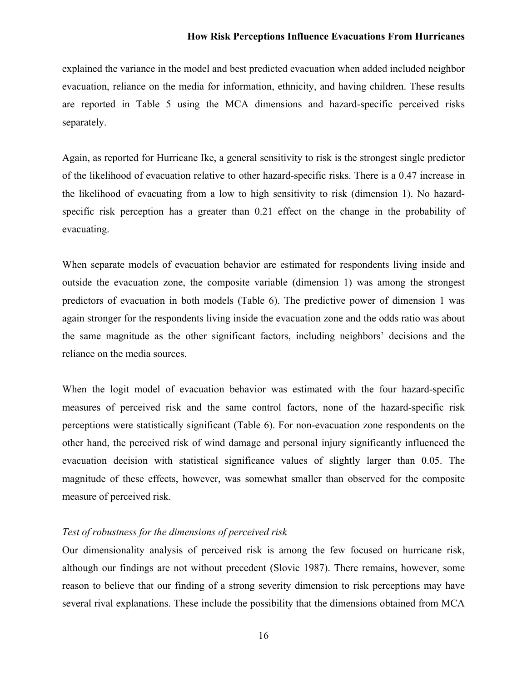explained the variance in the model and best predicted evacuation when added included neighbor evacuation, reliance on the media for information, ethnicity, and having children. These results are reported in Table 5 using the MCA dimensions and hazard-specific perceived risks separately.

Again, as reported for Hurricane Ike, a general sensitivity to risk is the strongest single predictor of the likelihood of evacuation relative to other hazard-specific risks. There is a 0.47 increase in the likelihood of evacuating from a low to high sensitivity to risk (dimension 1). No hazardspecific risk perception has a greater than 0.21 effect on the change in the probability of evacuating.

When separate models of evacuation behavior are estimated for respondents living inside and outside the evacuation zone, the composite variable (dimension 1) was among the strongest predictors of evacuation in both models (Table 6). The predictive power of dimension 1 was again stronger for the respondents living inside the evacuation zone and the odds ratio was about the same magnitude as the other significant factors, including neighbors' decisions and the reliance on the media sources.

When the logit model of evacuation behavior was estimated with the four hazard-specific measures of perceived risk and the same control factors, none of the hazard-specific risk perceptions were statistically significant (Table 6). For non-evacuation zone respondents on the other hand, the perceived risk of wind damage and personal injury significantly influenced the evacuation decision with statistical significance values of slightly larger than 0.05. The magnitude of these effects, however, was somewhat smaller than observed for the composite measure of perceived risk.

### *Test of robustness for the dimensions of perceived risk*

Our dimensionality analysis of perceived risk is among the few focused on hurricane risk, although our findings are not without precedent (Slovic 1987). There remains, however, some reason to believe that our finding of a strong severity dimension to risk perceptions may have several rival explanations. These include the possibility that the dimensions obtained from MCA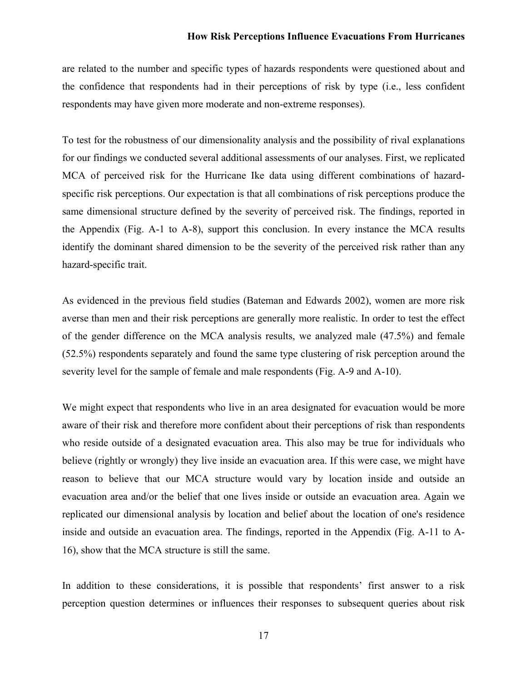are related to the number and specific types of hazards respondents were questioned about and the confidence that respondents had in their perceptions of risk by type (i.e., less confident respondents may have given more moderate and non-extreme responses).

To test for the robustness of our dimensionality analysis and the possibility of rival explanations for our findings we conducted several additional assessments of our analyses. First, we replicated MCA of perceived risk for the Hurricane Ike data using different combinations of hazardspecific risk perceptions. Our expectation is that all combinations of risk perceptions produce the same dimensional structure defined by the severity of perceived risk. The findings, reported in the Appendix (Fig. A-1 to A-8), support this conclusion. In every instance the MCA results identify the dominant shared dimension to be the severity of the perceived risk rather than any hazard-specific trait.

As evidenced in the previous field studies (Bateman and Edwards 2002), women are more risk averse than men and their risk perceptions are generally more realistic. In order to test the effect of the gender difference on the MCA analysis results, we analyzed male (47.5%) and female (52.5%) respondents separately and found the same type clustering of risk perception around the severity level for the sample of female and male respondents (Fig. A-9 and A-10).

We might expect that respondents who live in an area designated for evacuation would be more aware of their risk and therefore more confident about their perceptions of risk than respondents who reside outside of a designated evacuation area. This also may be true for individuals who believe (rightly or wrongly) they live inside an evacuation area. If this were case, we might have reason to believe that our MCA structure would vary by location inside and outside an evacuation area and/or the belief that one lives inside or outside an evacuation area. Again we replicated our dimensional analysis by location and belief about the location of one's residence inside and outside an evacuation area. The findings, reported in the Appendix (Fig. A-11 to A-16), show that the MCA structure is still the same.

In addition to these considerations, it is possible that respondents' first answer to a risk perception question determines or influences their responses to subsequent queries about risk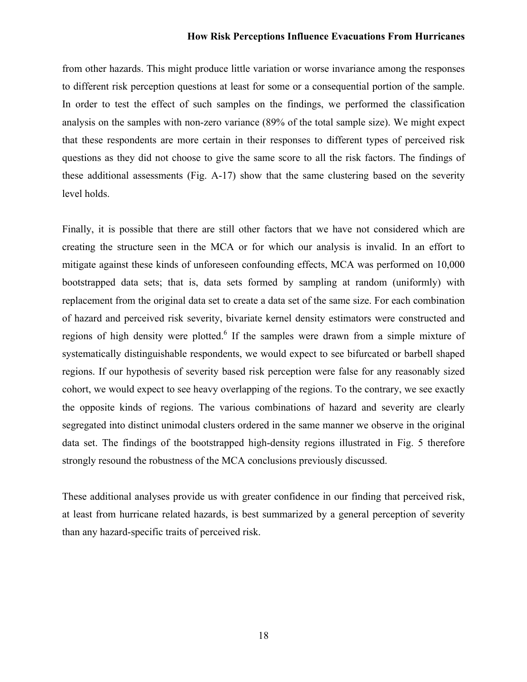from other hazards. This might produce little variation or worse invariance among the responses to different risk perception questions at least for some or a consequential portion of the sample. In order to test the effect of such samples on the findings, we performed the classification analysis on the samples with non-zero variance (89% of the total sample size). We might expect that these respondents are more certain in their responses to different types of perceived risk questions as they did not choose to give the same score to all the risk factors. The findings of these additional assessments (Fig. A-17) show that the same clustering based on the severity level holds.

Finally, it is possible that there are still other factors that we have not considered which are creating the structure seen in the MCA or for which our analysis is invalid. In an effort to mitigate against these kinds of unforeseen confounding effects, MCA was performed on 10,000 bootstrapped data sets; that is, data sets formed by sampling at random (uniformly) with replacement from the original data set to create a data set of the same size. For each combination of hazard and perceived risk severity, bivariate kernel density estimators were constructed and regions of high density were plotted.<sup>6</sup> If the samples were drawn from a simple mixture of systematically distinguishable respondents, we would expect to see bifurcated or barbell shaped regions. If our hypothesis of severity based risk perception were false for any reasonably sized cohort, we would expect to see heavy overlapping of the regions. To the contrary, we see exactly the opposite kinds of regions. The various combinations of hazard and severity are clearly segregated into distinct unimodal clusters ordered in the same manner we observe in the original data set. The findings of the bootstrapped high-density regions illustrated in Fig. 5 therefore strongly resound the robustness of the MCA conclusions previously discussed.

These additional analyses provide us with greater confidence in our finding that perceived risk, at least from hurricane related hazards, is best summarized by a general perception of severity than any hazard-specific traits of perceived risk.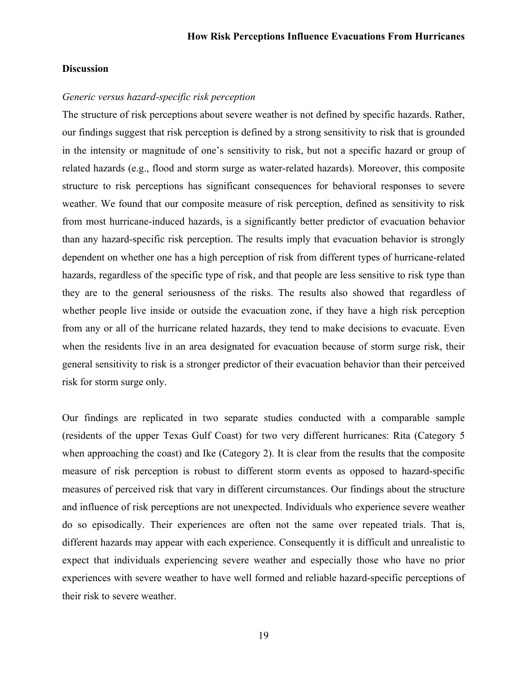### **Discussion**

### *Generic versus hazard-specific risk perception*

The structure of risk perceptions about severe weather is not defined by specific hazards. Rather, our findings suggest that risk perception is defined by a strong sensitivity to risk that is grounded in the intensity or magnitude of one's sensitivity to risk, but not a specific hazard or group of related hazards (e.g., flood and storm surge as water-related hazards). Moreover, this composite structure to risk perceptions has significant consequences for behavioral responses to severe weather. We found that our composite measure of risk perception, defined as sensitivity to risk from most hurricane-induced hazards, is a significantly better predictor of evacuation behavior than any hazard-specific risk perception. The results imply that evacuation behavior is strongly dependent on whether one has a high perception of risk from different types of hurricane-related hazards, regardless of the specific type of risk, and that people are less sensitive to risk type than they are to the general seriousness of the risks. The results also showed that regardless of whether people live inside or outside the evacuation zone, if they have a high risk perception from any or all of the hurricane related hazards, they tend to make decisions to evacuate. Even when the residents live in an area designated for evacuation because of storm surge risk, their general sensitivity to risk is a stronger predictor of their evacuation behavior than their perceived risk for storm surge only.

Our findings are replicated in two separate studies conducted with a comparable sample (residents of the upper Texas Gulf Coast) for two very different hurricanes: Rita (Category 5 when approaching the coast) and Ike (Category 2). It is clear from the results that the composite measure of risk perception is robust to different storm events as opposed to hazard-specific measures of perceived risk that vary in different circumstances. Our findings about the structure and influence of risk perceptions are not unexpected. Individuals who experience severe weather do so episodically. Their experiences are often not the same over repeated trials. That is, different hazards may appear with each experience. Consequently it is difficult and unrealistic to expect that individuals experiencing severe weather and especially those who have no prior experiences with severe weather to have well formed and reliable hazard-specific perceptions of their risk to severe weather.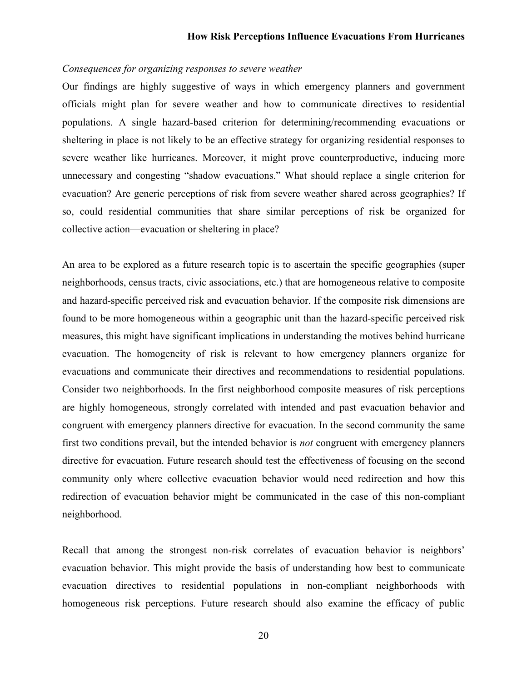# *Consequences for organizing responses to severe weather*

Our findings are highly suggestive of ways in which emergency planners and government officials might plan for severe weather and how to communicate directives to residential populations. A single hazard-based criterion for determining/recommending evacuations or sheltering in place is not likely to be an effective strategy for organizing residential responses to severe weather like hurricanes. Moreover, it might prove counterproductive, inducing more unnecessary and congesting "shadow evacuations." What should replace a single criterion for evacuation? Are generic perceptions of risk from severe weather shared across geographies? If so, could residential communities that share similar perceptions of risk be organized for collective action—evacuation or sheltering in place?

An area to be explored as a future research topic is to ascertain the specific geographies (super neighborhoods, census tracts, civic associations, etc.) that are homogeneous relative to composite and hazard-specific perceived risk and evacuation behavior. If the composite risk dimensions are found to be more homogeneous within a geographic unit than the hazard-specific perceived risk measures, this might have significant implications in understanding the motives behind hurricane evacuation. The homogeneity of risk is relevant to how emergency planners organize for evacuations and communicate their directives and recommendations to residential populations. Consider two neighborhoods. In the first neighborhood composite measures of risk perceptions are highly homogeneous, strongly correlated with intended and past evacuation behavior and congruent with emergency planners directive for evacuation. In the second community the same first two conditions prevail, but the intended behavior is *not* congruent with emergency planners directive for evacuation. Future research should test the effectiveness of focusing on the second community only where collective evacuation behavior would need redirection and how this redirection of evacuation behavior might be communicated in the case of this non-compliant neighborhood.

Recall that among the strongest non-risk correlates of evacuation behavior is neighbors' evacuation behavior. This might provide the basis of understanding how best to communicate evacuation directives to residential populations in non-compliant neighborhoods with homogeneous risk perceptions. Future research should also examine the efficacy of public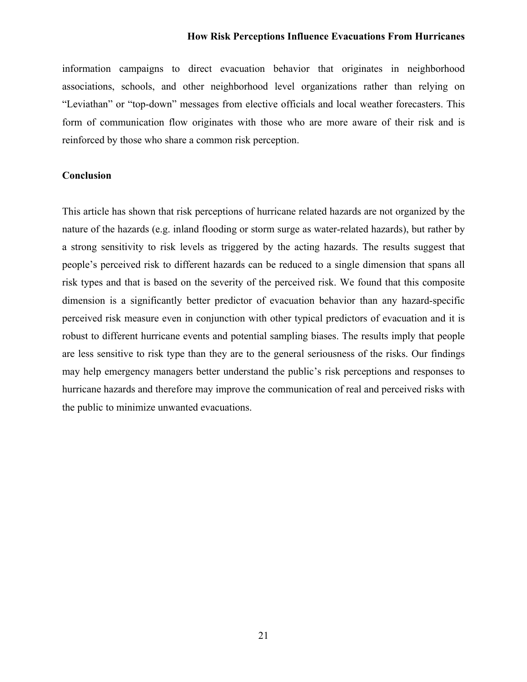information campaigns to direct evacuation behavior that originates in neighborhood associations, schools, and other neighborhood level organizations rather than relying on "Leviathan" or "top-down" messages from elective officials and local weather forecasters. This form of communication flow originates with those who are more aware of their risk and is reinforced by those who share a common risk perception.

# **Conclusion**

This article has shown that risk perceptions of hurricane related hazards are not organized by the nature of the hazards (e.g. inland flooding or storm surge as water-related hazards), but rather by a strong sensitivity to risk levels as triggered by the acting hazards. The results suggest that people's perceived risk to different hazards can be reduced to a single dimension that spans all risk types and that is based on the severity of the perceived risk. We found that this composite dimension is a significantly better predictor of evacuation behavior than any hazard-specific perceived risk measure even in conjunction with other typical predictors of evacuation and it is robust to different hurricane events and potential sampling biases. The results imply that people are less sensitive to risk type than they are to the general seriousness of the risks. Our findings may help emergency managers better understand the public's risk perceptions and responses to hurricane hazards and therefore may improve the communication of real and perceived risks with the public to minimize unwanted evacuations.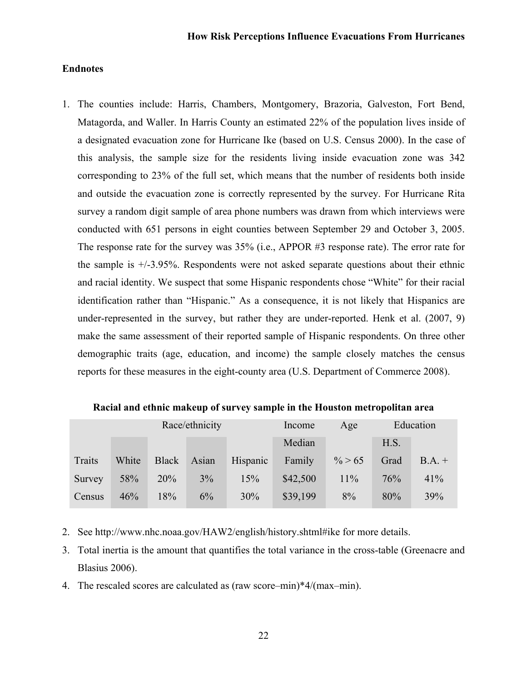### **Endnotes**

1. The counties include: Harris, Chambers, Montgomery, Brazoria, Galveston, Fort Bend, Matagorda, and Waller. In Harris County an estimated 22% of the population lives inside of a designated evacuation zone for Hurricane Ike (based on U.S. Census 2000). In the case of this analysis, the sample size for the residents living inside evacuation zone was 342 corresponding to 23% of the full set, which means that the number of residents both inside and outside the evacuation zone is correctly represented by the survey. For Hurricane Rita survey a random digit sample of area phone numbers was drawn from which interviews were conducted with 651 persons in eight counties between September 29 and October 3, 2005. The response rate for the survey was 35% (i.e., APPOR #3 response rate). The error rate for the sample is +/-3.95%. Respondents were not asked separate questions about their ethnic and racial identity. We suspect that some Hispanic respondents chose "White" for their racial identification rather than "Hispanic." As a consequence, it is not likely that Hispanics are under-represented in the survey, but rather they are under-reported. Henk et al. (2007, 9) make the same assessment of their reported sample of Hispanic respondents. On three other demographic traits (age, education, and income) the sample closely matches the census reports for these measures in the eight-county area (U.S. Department of Commerce 2008).

| Race/ethnicity |       |       |       |          | Income   | Age       |      | Education |
|----------------|-------|-------|-------|----------|----------|-----------|------|-----------|
|                |       |       |       |          | Median   |           | H.S. |           |
| Traits         | White | Black | Asian | Hispanic | Family   | $\% > 65$ | Grad | $B.A. +$  |
| Survey         | 58%   | 20%   | 3%    | 15%      | \$42,500 | 11%       | 76%  | 41%       |
| Census         | 46%   | 18%   | 6%    | 30%      | \$39,199 | 8%        | 80%  | 39%       |

**Racial and ethnic makeup of survey sample in the Houston metropolitan area**

- 2. See http://www.nhc.noaa.gov/HAW2/english/history.shtml#ike for more details.
- 3. Total inertia is the amount that quantifies the total variance in the cross-table (Greenacre and Blasius 2006).
- 4. The rescaled scores are calculated as (raw score–min)\*4/(max–min).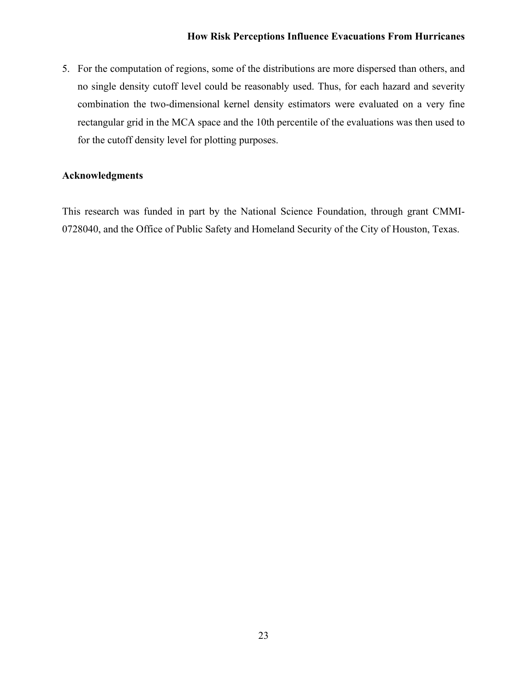5. For the computation of regions, some of the distributions are more dispersed than others, and no single density cutoff level could be reasonably used. Thus, for each hazard and severity combination the two-dimensional kernel density estimators were evaluated on a very fine rectangular grid in the MCA space and the 10th percentile of the evaluations was then used to for the cutoff density level for plotting purposes.

# **Acknowledgments**

This research was funded in part by the National Science Foundation, through grant CMMI-0728040, and the Office of Public Safety and Homeland Security of the City of Houston, Texas.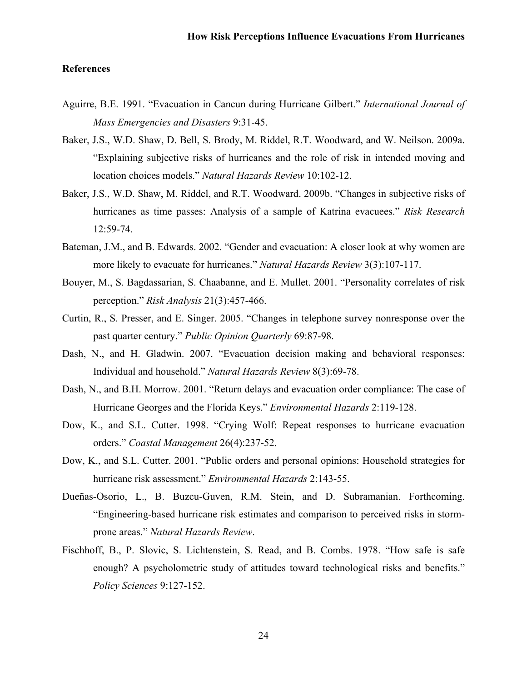### **References**

- Aguirre, B.E. 1991. "Evacuation in Cancun during Hurricane Gilbert." *International Journal of Mass Emergencies and Disasters* 9:31-45.
- Baker, J.S., W.D. Shaw, D. Bell, S. Brody, M. Riddel, R.T. Woodward, and W. Neilson. 2009a. "Explaining subjective risks of hurricanes and the role of risk in intended moving and location choices models." *Natural Hazards Review* 10:102-12.
- Baker, J.S., W.D. Shaw, M. Riddel, and R.T. Woodward. 2009b. "Changes in subjective risks of hurricanes as time passes: Analysis of a sample of Katrina evacuees." *Risk Research* 12:59-74.
- Bateman, J.M., and B. Edwards. 2002. "Gender and evacuation: A closer look at why women are more likely to evacuate for hurricanes." *Natural Hazards Review* 3(3):107-117.
- Bouyer, M., S. Bagdassarian, S. Chaabanne, and E. Mullet. 2001. "Personality correlates of risk perception." *Risk Analysis* 21(3):457-466.
- Curtin, R., S. Presser, and E. Singer. 2005. "Changes in telephone survey nonresponse over the past quarter century." *Public Opinion Quarterly* 69:87-98.
- Dash, N., and H. Gladwin. 2007. "Evacuation decision making and behavioral responses: Individual and household." *Natural Hazards Review* 8(3):69-78.
- Dash, N., and B.H. Morrow. 2001. "Return delays and evacuation order compliance: The case of Hurricane Georges and the Florida Keys." *Environmental Hazards* 2:119-128.
- Dow, K., and S.L. Cutter. 1998. "Crying Wolf: Repeat responses to hurricane evacuation orders." *Coastal Management* 26(4):237-52.
- Dow, K., and S.L. Cutter. 2001. "Public orders and personal opinions: Household strategies for hurricane risk assessment." *Environmental Hazards* 2:143-55.
- Dueñas-Osorio, L., B. Buzcu-Guven, R.M. Stein, and D. Subramanian. Forthcoming. "Engineering-based hurricane risk estimates and comparison to perceived risks in stormprone areas." *Natural Hazards Review*.
- Fischhoff, B., P. Slovic, S. Lichtenstein, S. Read, and B. Combs. 1978. "How safe is safe enough? A psycholometric study of attitudes toward technological risks and benefits." *Policy Sciences* 9:127-152.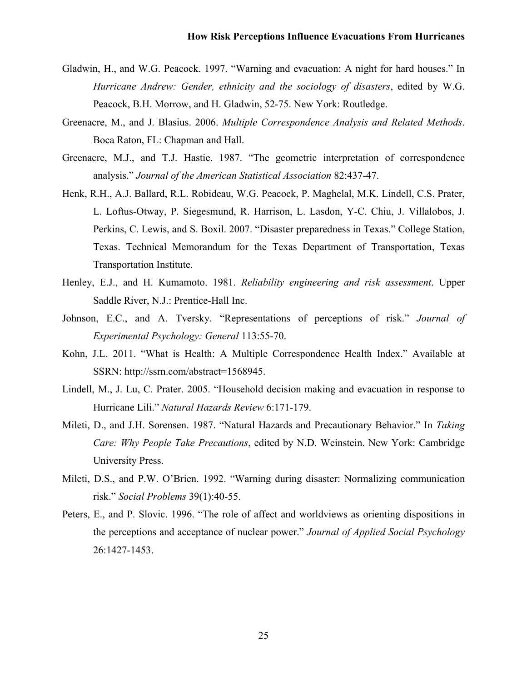- Gladwin, H., and W.G. Peacock. 1997. "Warning and evacuation: A night for hard houses." In *Hurricane Andrew: Gender, ethnicity and the sociology of disasters*, edited by W.G. Peacock, B.H. Morrow, and H. Gladwin, 52-75. New York: Routledge.
- Greenacre, M., and J. Blasius. 2006. *Multiple Correspondence Analysis and Related Methods*. Boca Raton, FL: Chapman and Hall.
- Greenacre, M.J., and T.J. Hastie. 1987. "The geometric interpretation of correspondence analysis." *Journal of the American Statistical Association* 82:437-47.
- Henk, R.H., A.J. Ballard, R.L. Robideau, W.G. Peacock, P. Maghelal, M.K. Lindell, C.S. Prater, L. Loftus-Otway, P. Siegesmund, R. Harrison, L. Lasdon, Y-C. Chiu, J. Villalobos, J. Perkins, C. Lewis, and S. Boxil. 2007. "Disaster preparedness in Texas." College Station, Texas. Technical Memorandum for the Texas Department of Transportation, Texas Transportation Institute.
- Henley, E.J., and H. Kumamoto. 1981. *Reliability engineering and risk assessment*. Upper Saddle River, N.J.: Prentice-Hall Inc.
- Johnson, E.C., and A. Tversky. "Representations of perceptions of risk." *Journal of Experimental Psychology: General* 113:55-70.
- Kohn, J.L. 2011. "What is Health: A Multiple Correspondence Health Index." Available at SSRN: http://ssrn.com/abstract=1568945.
- Lindell, M., J. Lu, C. Prater. 2005. "Household decision making and evacuation in response to Hurricane Lili." *Natural Hazards Review* 6:171-179.
- Mileti, D., and J.H. Sorensen. 1987. "Natural Hazards and Precautionary Behavior." In *Taking Care: Why People Take Precautions*, edited by N.D. Weinstein. New York: Cambridge University Press.
- Mileti, D.S., and P.W. O'Brien. 1992. "Warning during disaster: Normalizing communication risk." *Social Problems* 39(1):40-55.
- Peters, E., and P. Slovic. 1996. "The role of affect and worldviews as orienting dispositions in the perceptions and acceptance of nuclear power." *Journal of Applied Social Psychology* 26:1427-1453.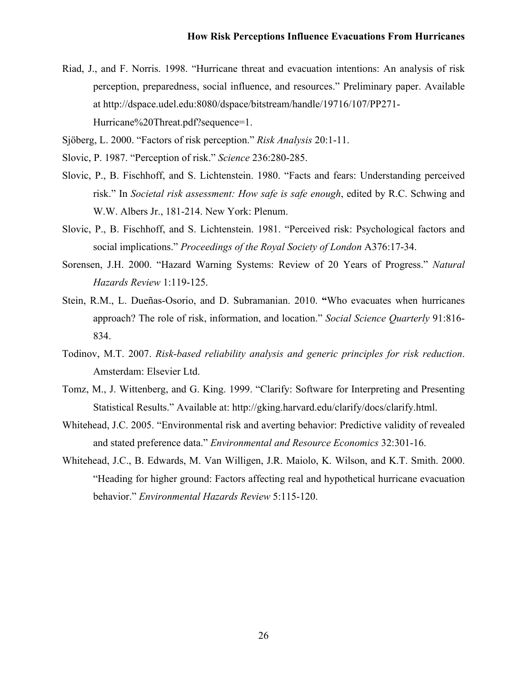- Riad, J., and F. Norris. 1998. "Hurricane threat and evacuation intentions: An analysis of risk perception, preparedness, social influence, and resources." Preliminary paper. Available at http://dspace.udel.edu:8080/dspace/bitstream/handle/19716/107/PP271- Hurricane%20Threat.pdf?sequence=1.
- Sjöberg, L. 2000. "Factors of risk perception." *Risk Analysis* 20:1-11.
- Slovic, P. 1987. "Perception of risk." *Science* 236:280-285.
- Slovic, P., B. Fischhoff, and S. Lichtenstein. 1980. "Facts and fears: Understanding perceived risk." In *Societal risk assessment: How safe is safe enough*, edited by R.C. Schwing and W.W. Albers Jr., 181-214. New York: Plenum.
- Slovic, P., B. Fischhoff, and S. Lichtenstein. 1981. "Perceived risk: Psychological factors and social implications." *Proceedings of the Royal Society of London* A376:17-34.
- Sorensen, J.H. 2000. "Hazard Warning Systems: Review of 20 Years of Progress." *Natural Hazards Review* 1:119-125.
- Stein, R.M., L. Dueñas-Osorio, and D. Subramanian. 2010. **"**Who evacuates when hurricanes approach? The role of risk, information, and location." *Social Science Quarterly* 91:816- 834.
- Todinov, M.T. 2007. *Risk-based reliability analysis and generic principles for risk reduction*. Amsterdam: Elsevier Ltd.
- Tomz, M., J. Wittenberg, and G. King. 1999. "Clarify: Software for Interpreting and Presenting Statistical Results." Available at: http://gking.harvard.edu/clarify/docs/clarify.html.
- Whitehead, J.C. 2005. "Environmental risk and averting behavior: Predictive validity of revealed and stated preference data." *Environmental and Resource Economics* 32:301-16.
- Whitehead, J.C., B. Edwards, M. Van Willigen, J.R. Maiolo, K. Wilson, and K.T. Smith. 2000. "Heading for higher ground: Factors affecting real and hypothetical hurricane evacuation behavior." *Environmental Hazards Review* 5:115-120.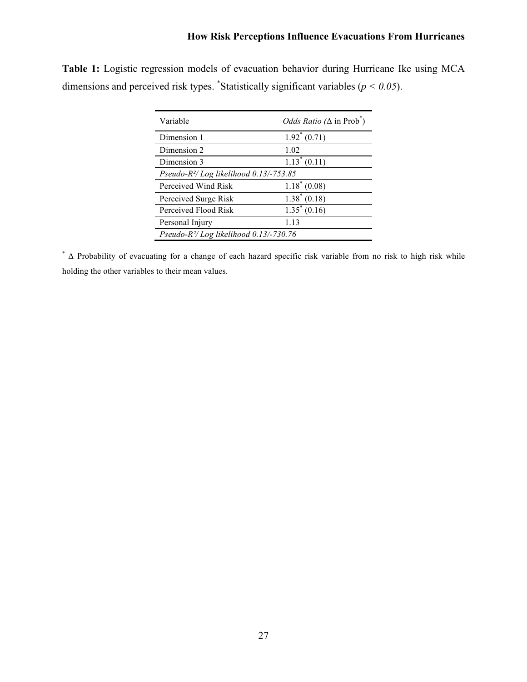| Variable                                   | <i>Odds Ratio</i> ( $\Delta$ in Prob <sup>*</sup> ) |
|--------------------------------------------|-----------------------------------------------------|
| Dimension 1                                | $1.92^* (0.71)$                                     |
| Dimension 2                                | 1.02                                                |
| Dimension 3                                | $1.13^*(0.11)$                                      |
| Pseudo- $R^2$ /Log likelihood 0.13/-753.85 |                                                     |
| Perceived Wind Risk                        | $1.18^*(0.08)$                                      |
| Perceived Surge Risk                       | $1.38^*(0.18)$                                      |
| Perceived Flood Risk                       | $1.35^* (0.16)$                                     |
| Personal Injury                            | 1.13                                                |

**Table 1:** Logistic regression models of evacuation behavior during Hurricane Ike using MCA dimensions and perceived risk types. \*Statistically significant variables ( $p < 0.05$ ).

\* Δ Probability of evacuating for a change of each hazard specific risk variable from no risk to high risk while holding the other variables to their mean values.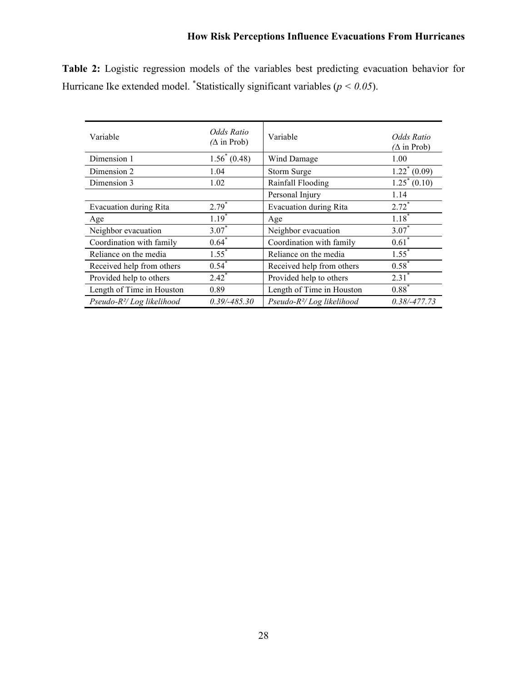| Variable                   | Odds Ratio<br>$(\Delta$ in Prob) | Variable                      | Odds Ratio<br>$(\Delta$ in Prob) |
|----------------------------|----------------------------------|-------------------------------|----------------------------------|
| Dimension 1                | $1.56^* (0.48)$                  | Wind Damage                   | 1.00                             |
| Dimension 2                | 1.04                             | Storm Surge                   | $1.22^*(0.09)$                   |
| Dimension 3                | 1.02                             | Rainfall Flooding             | $\overline{1.25}^* (0.10)$       |
|                            |                                  | Personal Injury               | 1.14                             |
| Evacuation during Rita     | $2.79*$                          | <b>Evacuation during Rita</b> | $2.72*$                          |
| Age                        | $1.19*$                          | Age                           | $1.18*$                          |
| Neighbor evacuation        | $3.07*$                          | Neighbor evacuation           | $3.07*$                          |
| Coordination with family   | $0.64*$                          | Coordination with family      | $0.61$ <sup>*</sup>              |
| Reliance on the media      | $1.55^{*}$                       | Reliance on the media         | $1.55^*$                         |
| Received help from others  | $0.54^{*}$                       | Received help from others     | $0.58*$                          |
| Provided help to others    | $2.42^{*}$                       | Provided help to others       | $2.31^{*}$                       |
| Length of Time in Houston  | 0.89                             | Length of Time in Houston     | $0.88*$                          |
| $Pseudo-R2/Log likelihood$ | $0.39/-485.30$                   | $Pseudo-R2/Log likelihood$    | $0.38/-477.73$                   |

**Table 2:** Logistic regression models of the variables best predicting evacuation behavior for Hurricane Ike extended model. <sup>\*</sup>Statistically significant variables ( $p < 0.05$ ).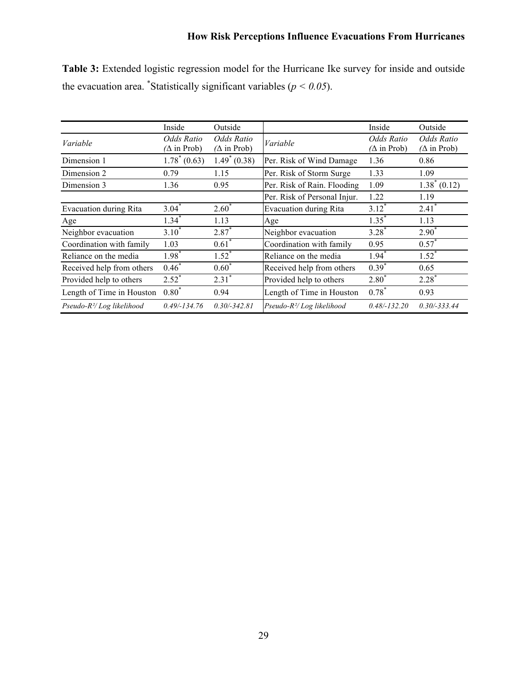|                                       | Inside                           | Outside                          |                                     | Inside                           | Outside                          |
|---------------------------------------|----------------------------------|----------------------------------|-------------------------------------|----------------------------------|----------------------------------|
| Variable                              | Odds Ratio<br>$(\Delta$ in Prob) | Odds Ratio<br>$(\Delta$ in Prob) | Variable                            | Odds Ratio<br>$(\Delta$ in Prob) | Odds Ratio<br>$(\Delta$ in Prob) |
| Dimension 1                           | $1.78^*(0.63)$                   | $1.49^*(0.38)$                   | Per. Risk of Wind Damage            | 1.36                             | 0.86                             |
| Dimension 2                           | 0.79                             | 1.15                             | Per. Risk of Storm Surge            | 1.33                             | 1.09                             |
| Dimension 3                           | 1.36                             | 0.95                             | Per. Risk of Rain. Flooding         | 1.09                             | $1.38^*(0.12)$                   |
|                                       |                                  |                                  | Per. Risk of Personal Injur.        | 1.22                             | 1.19                             |
| Evacuation during Rita                | $3.04^*$                         | $2.60^*$                         | <b>Evacuation during Rita</b>       | $3.12*$                          | $2.41$ <sup>*</sup>              |
| Age                                   | $1.34^{*}$                       | 1.13                             | Age                                 | $1.35*$                          | 1.13                             |
| Neighbor evacuation                   | $3.10*$                          | $2.87*$                          | Neighbor evacuation                 | $3.28*$                          | $2.90^*$                         |
| Coordination with family              | 1.03                             | $0.61$ <sup>*</sup>              | Coordination with family            | 0.95                             | $0.57*$                          |
| Reliance on the media                 | $1.98^{*}$                       | $1.52^*$                         | Reliance on the media               | $1.94*$                          | $1.52^*$                         |
| Received help from others             | $0.46*$                          | $0.60*$                          | Received help from others           | $0.39*$                          | 0.65                             |
| Provided help to others               | $2.52^*$                         | $2.31$ <sup>*</sup>              | Provided help to others             | $2.80*$                          | $2.28*$                          |
| Length of Time in Houston             | $0.80*$                          | 0.94                             | Length of Time in Houston           | $0.78*$                          | 0.93                             |
| Pseudo-R <sup>2</sup> /Log likelihood | $0.49/-134.76$                   | $0.30/-342.81$                   | Pseudo- $R^2$ <i>Log likelihood</i> | $0.48/-132.20$                   | $0.30/-333.44$                   |

**Table 3:** Extended logistic regression model for the Hurricane Ike survey for inside and outside the evacuation area. <sup>\*</sup>Statistically significant variables ( $p < 0.05$ ).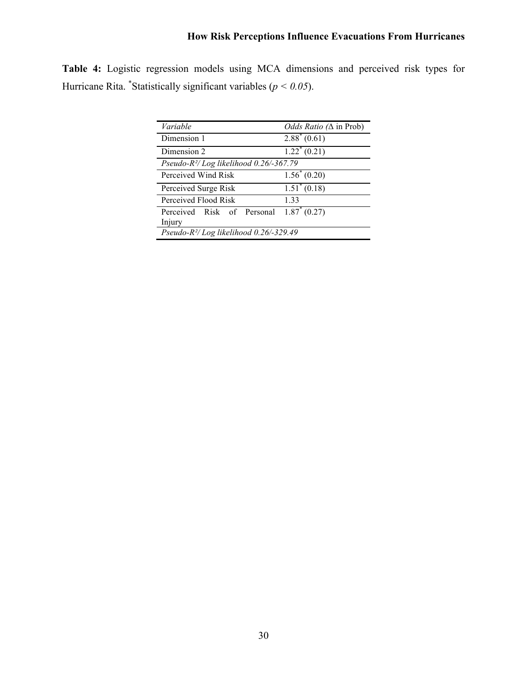|  |                                                                      |  | <b>Table 4:</b> Logistic regression models using MCA dimensions and perceived risk types for |  |  |  |
|--|----------------------------------------------------------------------|--|----------------------------------------------------------------------------------------------|--|--|--|
|  | Hurricane Rita. *Statistically significant variables ( $p < 0.05$ ). |  |                                                                                              |  |  |  |

| Variable                                              | <i>Odds Ratio</i> ( $\Delta$ in Prob) |
|-------------------------------------------------------|---------------------------------------|
| Dimension 1                                           | $2.88^*(0.61)$                        |
| Dimension 2                                           | $1.22 \times (0.21)$                  |
| Pseudo-R <sup>2</sup> /Log likelihood $0.26$ /-367.79 |                                       |
| Perceived Wind Risk                                   | $1.56^* (0.20)$                       |
| Perceived Surge Risk                                  | $1.51^* (0.18)$                       |
| Perceived Flood Risk                                  | 1.33                                  |
| Perceived Risk of Personal                            | $1.87^*(0.27)$                        |
| Injury                                                |                                       |
| Pseudo-R <sup>2</sup> /Log likelihood 0.26/-329.49    |                                       |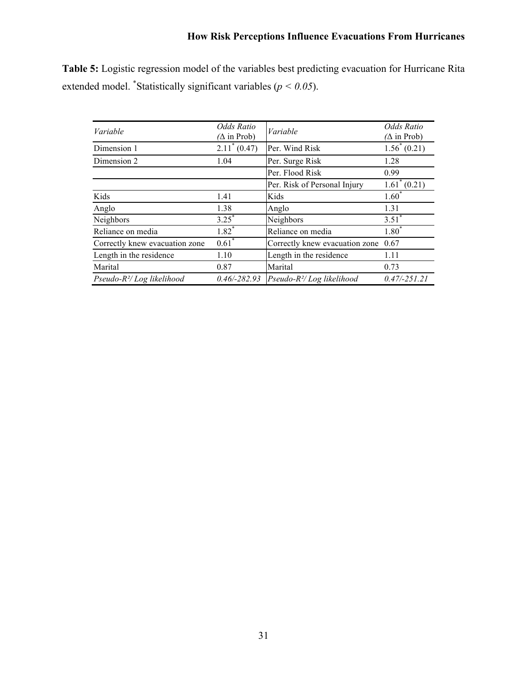**Table 5:** Logistic regression model of the variables best predicting evacuation for Hurricane Rita extended model. <sup>\*</sup>Statistically significant variables ( $p < 0.05$ ).

| Variable                       | Odds Ratio<br>$(\Delta$ in Prob) | Variable                              | Odds Ratio<br>$(\Delta$ in Prob) |
|--------------------------------|----------------------------------|---------------------------------------|----------------------------------|
| Dimension 1                    | $2.11^*(0.47)$                   | Per. Wind Risk                        | $1.56^*(0.21)$                   |
| Dimension 2                    | 1.04                             | Per. Surge Risk                       | 1.28                             |
|                                |                                  | Per. Flood Risk                       | 0.99                             |
|                                |                                  | Per. Risk of Personal Injury          | $1.61^* (0.21)$                  |
| Kids                           | 1.41                             | Kids                                  | $1.60*$                          |
| Anglo                          | 1.38                             | Anglo                                 | 1.31                             |
| Neighbors                      | $3.25^*$                         | Neighbors                             | $3.51^*$                         |
| Reliance on media              | $1.82$ <sup>*</sup>              | Reliance on media                     | $1.80^{*}$                       |
| Correctly knew evacuation zone | $0.61$ <sup>*</sup>              | Correctly knew evacuation zone        | 0.67                             |
| Length in the residence        | 1.10                             | Length in the residence               | 1.11                             |
| Marital                        | 0.87                             | Marital                               | 0.73                             |
| Pseudo- $R^2 / Log$ likelihood | $0.46/-282.93$                   | Pseudo-R <sup>2</sup> /Log likelihood | $0.47/-251.21$                   |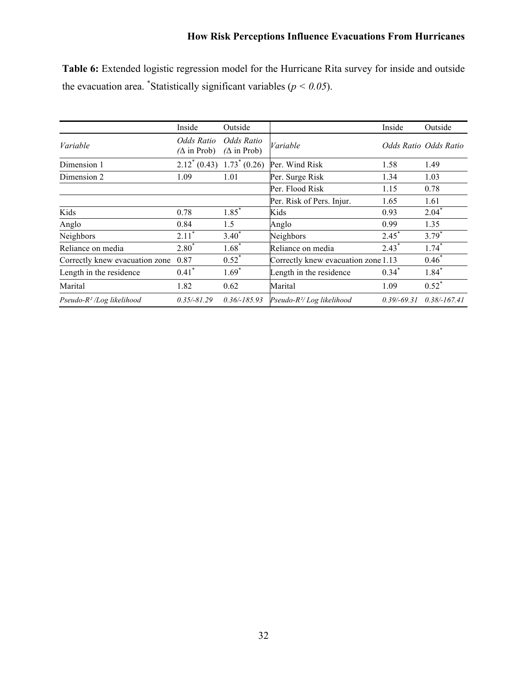| Table 6: Extended logistic regression model for the Hurricane Rita survey for inside and outside |  |  |  |
|--------------------------------------------------------------------------------------------------|--|--|--|
| the evacuation area. *Statistically significant variables ( $p < 0.05$ ).                        |  |  |  |

|                                | Inside                           | Outside                          |                                       | Inside        | Outside               |
|--------------------------------|----------------------------------|----------------------------------|---------------------------------------|---------------|-----------------------|
| Variable                       | Odds Ratio<br>$(\Delta$ in Prob) | Odds Ratio<br>$(\Delta$ in Prob) | Variable                              |               | Odds Ratio Odds Ratio |
| Dimension 1                    |                                  | $2.12^*(0.43)$ $1.73^*(0.26)$    | Per. Wind Risk                        | 1.58          | 1.49                  |
| Dimension 2                    | 1.09                             | 1.01                             | Per. Surge Risk                       | 1.34          | 1.03                  |
|                                |                                  |                                  | Per. Flood Risk                       | 1.15          | 0.78                  |
|                                |                                  |                                  | Per. Risk of Pers. Injur.             | 1.65          | 1.61                  |
| Kids                           | 0.78                             | $1.85$ <sup>*</sup>              | Kids                                  | 0.93          | $2.04*$               |
| Anglo                          | 0.84                             | 1.5                              | Anglo                                 | 0.99          | 1.35                  |
| Neighbors                      | $2.11*$                          | $3.40*$                          | Neighbors                             | $2.45*$       | $3.79*$               |
| Reliance on media              | $2.80*$                          | $1.68*$                          | Reliance on media                     | $2.43^*$      | $1.74$ <sup>*</sup>   |
| Correctly knew evacuation zone | 0.87                             | $0.52^{*}$                       | Correctly knew evacuation zone 1.13   |               | $0.46*$               |
| Length in the residence        | $0.41$ <sup>*</sup>              | $1.69*$                          | Length in the residence               | $0.34*$       | $1.84*$               |
| Marital                        | 1.82                             | 0.62                             | Marital                               | 1.09          | $0.52^*$              |
| Pseudo- $R^2$ /Log likelihood  | $0.35/-81.29$                    | $0.36/-185.93$                   | Pseudo-R <sup>2</sup> /Log likelihood | $0.39/-69.31$ | $0.38/-167.41$        |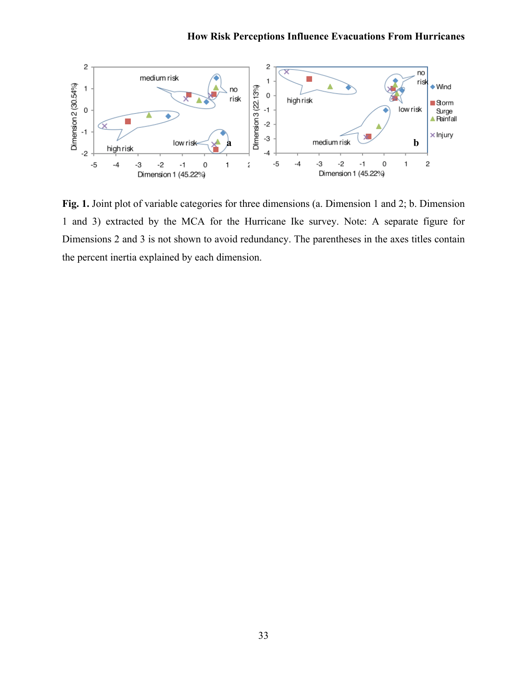

**Fig. 1.** Joint plot of variable categories for three dimensions (a. Dimension 1 and 2; b. Dimension 1 and 3) extracted by the MCA for the Hurricane Ike survey. Note: A separate figure for Dimensions 2 and 3 is not shown to avoid redundancy. The parentheses in the axes titles contain the percent inertia explained by each dimension.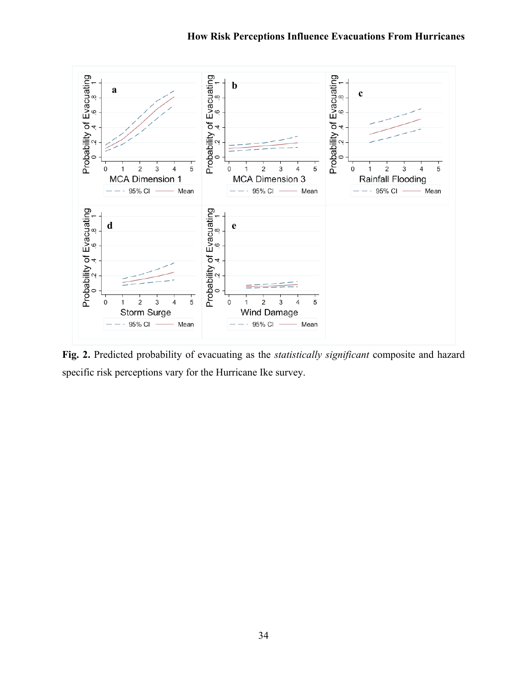

**Fig. 2.** Predicted probability of evacuating as the *statistically significant* composite and hazard specific risk perceptions vary for the Hurricane Ike survey.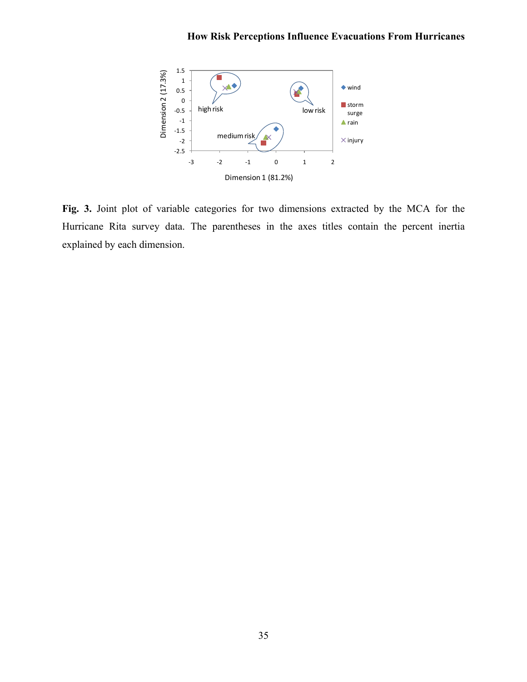

**Fig. 3.** Joint plot of variable categories for two dimensions extracted by the MCA for the Hurricane Rita survey data. The parentheses in the axes titles contain the percent inertia explained by each dimension.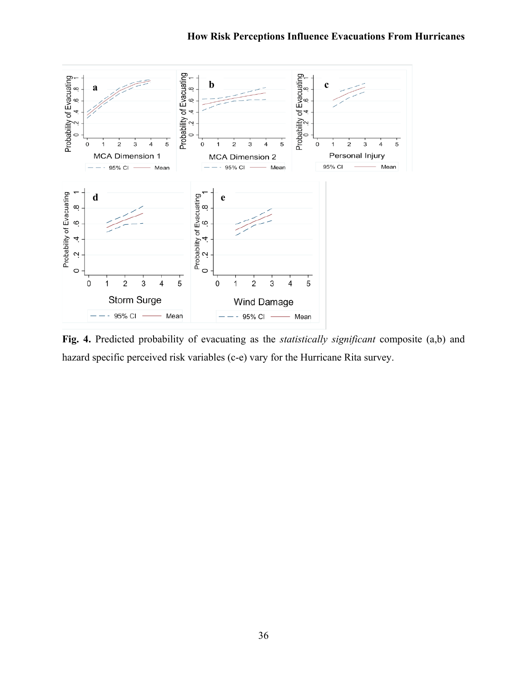

**Fig. 4.** Predicted probability of evacuating as the *statistically significant* composite (a,b) and hazard specific perceived risk variables (c-e) vary for the Hurricane Rita survey.